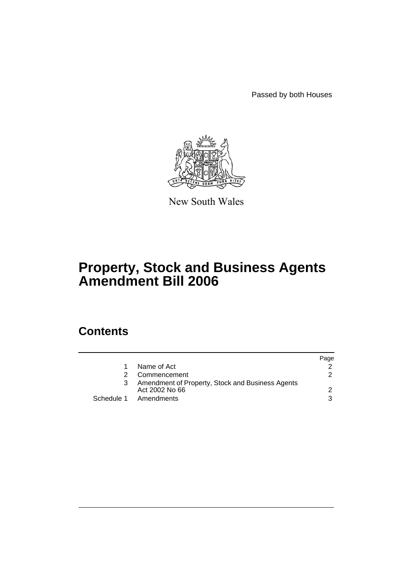Passed by both Houses



New South Wales

# **Property, Stock and Business Agents Amendment Bill 2006**

# **Contents**

|    |                                                                    | Page          |
|----|--------------------------------------------------------------------|---------------|
| 1. | Name of Act                                                        |               |
| 2  | Commencement                                                       | $\mathcal{P}$ |
| 3  | Amendment of Property, Stock and Business Agents<br>Act 2002 No 66 |               |
|    | Schedule 1 Amendments                                              | 3             |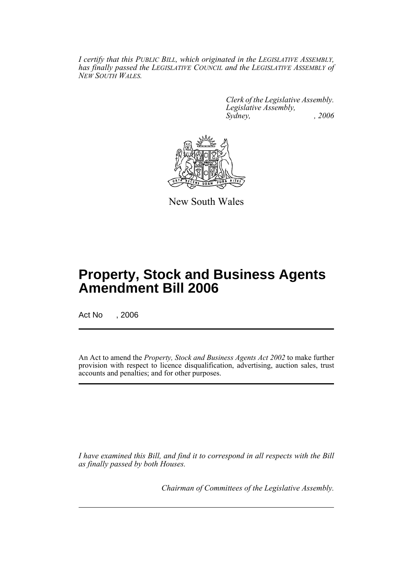*I certify that this PUBLIC BILL, which originated in the LEGISLATIVE ASSEMBLY, has finally passed the LEGISLATIVE COUNCIL and the LEGISLATIVE ASSEMBLY of NEW SOUTH WALES.*

> *Clerk of the Legislative Assembly. Legislative Assembly, Sydney, , 2006*



New South Wales

# **Property, Stock and Business Agents Amendment Bill 2006**

Act No , 2006

An Act to amend the *Property, Stock and Business Agents Act 2002* to make further provision with respect to licence disqualification, advertising, auction sales, trust accounts and penalties; and for other purposes.

*I have examined this Bill, and find it to correspond in all respects with the Bill as finally passed by both Houses.*

*Chairman of Committees of the Legislative Assembly.*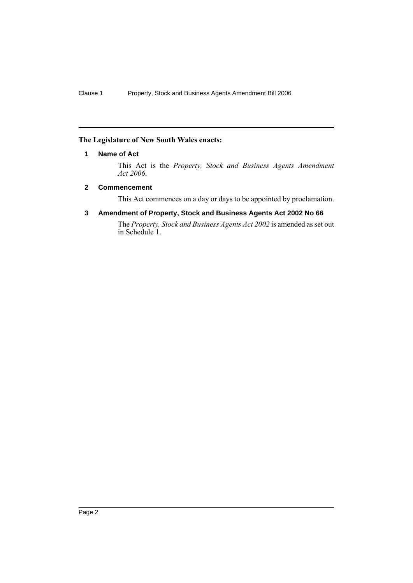# **The Legislature of New South Wales enacts:**

# **1 Name of Act**

This Act is the *Property, Stock and Business Agents Amendment Act 2006*.

# **2 Commencement**

This Act commences on a day or days to be appointed by proclamation.

# **3 Amendment of Property, Stock and Business Agents Act 2002 No 66**

The *Property, Stock and Business Agents Act 2002* is amended as set out in Schedule 1.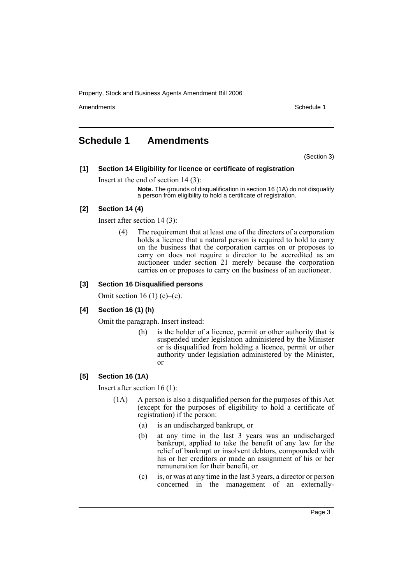Amendments **Amendments** Schedule 1

# **Schedule 1 Amendments**

(Section 3)

# **[1] Section 14 Eligibility for licence or certificate of registration**

# Insert at the end of section 14 (3):

**Note.** The grounds of disqualification in section 16 (1A) do not disqualify a person from eligibility to hold a certificate of registration.

# **[2] Section 14 (4)**

Insert after section 14 (3):

(4) The requirement that at least one of the directors of a corporation holds a licence that a natural person is required to hold to carry on the business that the corporation carries on or proposes to carry on does not require a director to be accredited as an auctioneer under section 21 merely because the corporation carries on or proposes to carry on the business of an auctioneer.

# **[3] Section 16 Disqualified persons**

Omit section 16 (1) (c)–(e).

# **[4] Section 16 (1) (h)**

Omit the paragraph. Insert instead:

(h) is the holder of a licence, permit or other authority that is suspended under legislation administered by the Minister or is disqualified from holding a licence, permit or other authority under legislation administered by the Minister, or

# **[5] Section 16 (1A)**

Insert after section 16 (1):

- (1A) A person is also a disqualified person for the purposes of this Act (except for the purposes of eligibility to hold a certificate of registration) if the person:
	- (a) is an undischarged bankrupt, or
	- (b) at any time in the last 3 years was an undischarged bankrupt, applied to take the benefit of any law for the relief of bankrupt or insolvent debtors, compounded with his or her creditors or made an assignment of his or her remuneration for their benefit, or
	- (c) is, or was at any time in the last 3 years, a director or person concerned in the management of an externally-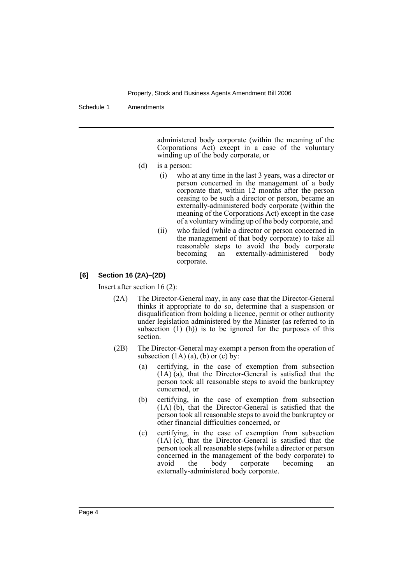Schedule 1 Amendments

administered body corporate (within the meaning of the Corporations Act) except in a case of the voluntary winding up of the body corporate, or

- (d) is a person:
	- (i) who at any time in the last 3 years, was a director or person concerned in the management of a body corporate that, within 12 months after the person ceasing to be such a director or person, became an externally-administered body corporate (within the meaning of the Corporations Act) except in the case of a voluntary winding up of the body corporate, and
	- (ii) who failed (while a director or person concerned in the management of that body corporate) to take all reasonable steps to avoid the body corporate<br>becoming an externally-administered body an externally-administered body corporate.

# **[6] Section 16 (2A)–(2D)**

Insert after section 16 (2):

- (2A) The Director-General may, in any case that the Director-General thinks it appropriate to do so, determine that a suspension or disqualification from holding a licence, permit or other authority under legislation administered by the Minister (as referred to in subsection  $(1)$   $(h)$ ) is to be ignored for the purposes of this section.
- (2B) The Director-General may exempt a person from the operation of subsection  $(1A)$   $(a)$ ,  $(b)$  or  $(c)$  by:
	- (a) certifying, in the case of exemption from subsection (1A) (a), that the Director-General is satisfied that the person took all reasonable steps to avoid the bankruptcy concerned, or
	- (b) certifying, in the case of exemption from subsection (1A) (b), that the Director-General is satisfied that the person took all reasonable steps to avoid the bankruptcy or other financial difficulties concerned, or
	- (c) certifying, in the case of exemption from subsection (1A) (c), that the Director-General is satisfied that the person took all reasonable steps (while a director or person concerned in the management of the body corporate) to avoid the body corporate becoming an avoid the body corporate becoming an externally-administered body corporate.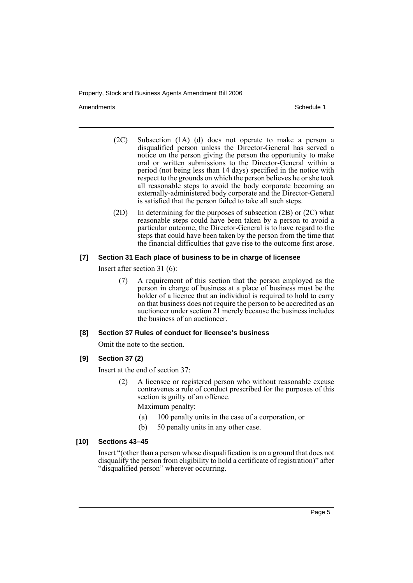Amendments **Amendments** Schedule 1

- (2C) Subsection (1A) (d) does not operate to make a person a disqualified person unless the Director-General has served a notice on the person giving the person the opportunity to make oral or written submissions to the Director-General within a period (not being less than 14 days) specified in the notice with respect to the grounds on which the person believes he or she took all reasonable steps to avoid the body corporate becoming an externally-administered body corporate and the Director-General is satisfied that the person failed to take all such steps.
- (2D) In determining for the purposes of subsection (2B) or (2C) what reasonable steps could have been taken by a person to avoid a particular outcome, the Director-General is to have regard to the steps that could have been taken by the person from the time that the financial difficulties that gave rise to the outcome first arose.

# **[7] Section 31 Each place of business to be in charge of licensee**

Insert after section 31 (6):

(7) A requirement of this section that the person employed as the person in charge of business at a place of business must be the holder of a licence that an individual is required to hold to carry on that business does not require the person to be accredited as an auctioneer under section 21 merely because the business includes the business of an auctioneer.

#### **[8] Section 37 Rules of conduct for licensee's business**

Omit the note to the section.

**[9] Section 37 (2)**

Insert at the end of section 37:

(2) A licensee or registered person who without reasonable excuse contravenes a rule of conduct prescribed for the purposes of this section is guilty of an offence.

Maximum penalty:

- (a) 100 penalty units in the case of a corporation, or
- (b) 50 penalty units in any other case.

#### **[10] Sections 43–45**

Insert "(other than a person whose disqualification is on a ground that does not disqualify the person from eligibility to hold a certificate of registration)" after "disqualified person" wherever occurring.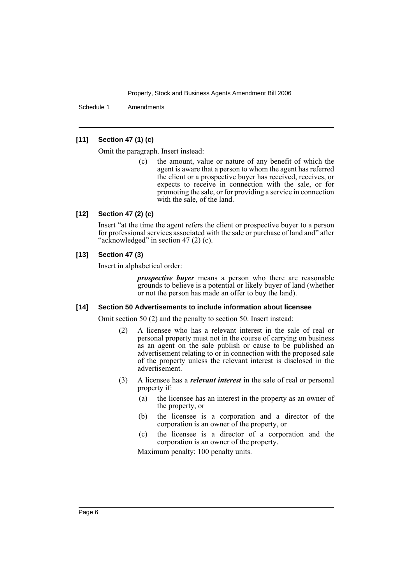Schedule 1 Amendments

# **[11] Section 47 (1) (c)**

Omit the paragraph. Insert instead:

(c) the amount, value or nature of any benefit of which the agent is aware that a person to whom the agent has referred the client or a prospective buyer has received, receives, or expects to receive in connection with the sale, or for promoting the sale, or for providing a service in connection with the sale, of the land.

#### **[12] Section 47 (2) (c)**

Insert "at the time the agent refers the client or prospective buyer to a person for professional services associated with the sale or purchase of land and" after "acknowledged" in section 47 (2) (c).

# **[13] Section 47 (3)**

Insert in alphabetical order:

*prospective buyer* means a person who there are reasonable grounds to believe is a potential or likely buyer of land (whether or not the person has made an offer to buy the land).

#### **[14] Section 50 Advertisements to include information about licensee**

Omit section 50 (2) and the penalty to section 50. Insert instead:

- (2) A licensee who has a relevant interest in the sale of real or personal property must not in the course of carrying on business as an agent on the sale publish or cause to be published an advertisement relating to or in connection with the proposed sale of the property unless the relevant interest is disclosed in the advertisement.
- (3) A licensee has a *relevant interest* in the sale of real or personal property if:
	- (a) the licensee has an interest in the property as an owner of the property, or
	- (b) the licensee is a corporation and a director of the corporation is an owner of the property, or
	- (c) the licensee is a director of a corporation and the corporation is an owner of the property.

Maximum penalty: 100 penalty units.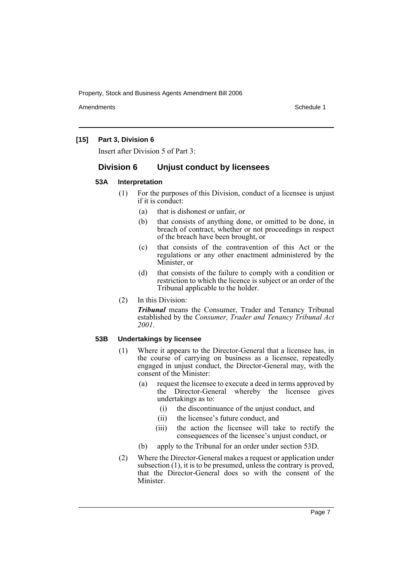Amendments **Amendments** Schedule 1

# **[15] Part 3, Division 6**

Insert after Division 5 of Part 3:

# **Division 6 Unjust conduct by licensees**

#### **53A Interpretation**

- (1) For the purposes of this Division, conduct of a licensee is unjust if it is conduct:
	- (a) that is dishonest or unfair, or
	- (b) that consists of anything done, or omitted to be done, in breach of contract, whether or not proceedings in respect of the breach have been brought, or
	- (c) that consists of the contravention of this Act or the regulations or any other enactment administered by the Minister, or
	- (d) that consists of the failure to comply with a condition or restriction to which the licence is subject or an order of the Tribunal applicable to the holder.
- (2) In this Division:

*Tribunal* means the Consumer, Trader and Tenancy Tribunal established by the *Consumer, Trader and Tenancy Tribunal Act 2001*.

# **53B Undertakings by licensee**

- (1) Where it appears to the Director-General that a licensee has, in the course of carrying on business as a licensee, repeatedly engaged in unjust conduct, the Director-General may, with the consent of the Minister:
	- (a) request the licensee to execute a deed in terms approved by the Director-General whereby the licensee gives undertakings as to:
		- (i) the discontinuance of the unjust conduct, and
		- (ii) the licensee's future conduct, and
		- (iii) the action the licensee will take to rectify the consequences of the licensee's unjust conduct, or
	- (b) apply to the Tribunal for an order under section 53D.
- (2) Where the Director-General makes a request or application under subsection (1), it is to be presumed, unless the contrary is proved, that the Director-General does so with the consent of the Minister.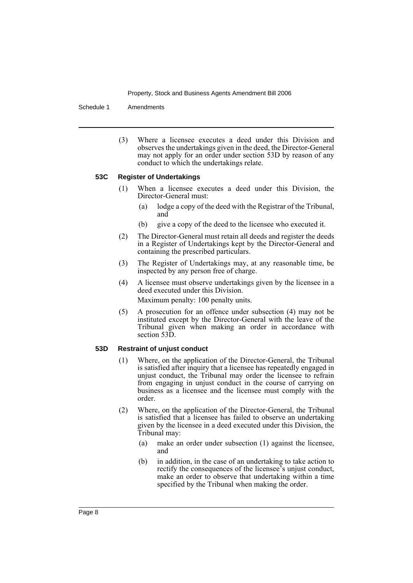Schedule 1 Amendments

(3) Where a licensee executes a deed under this Division and observes the undertakings given in the deed, the Director-General may not apply for an order under section 53D by reason of any conduct to which the undertakings relate.

# **53C Register of Undertakings**

- (1) When a licensee executes a deed under this Division, the Director-General must:
	- (a) lodge a copy of the deed with the Registrar of the Tribunal, and
	- (b) give a copy of the deed to the licensee who executed it.
- (2) The Director-General must retain all deeds and register the deeds in a Register of Undertakings kept by the Director-General and containing the prescribed particulars.
- (3) The Register of Undertakings may, at any reasonable time, be inspected by any person free of charge.
- (4) A licensee must observe undertakings given by the licensee in a deed executed under this Division.

Maximum penalty: 100 penalty units.

(5) A prosecution for an offence under subsection (4) may not be instituted except by the Director-General with the leave of the Tribunal given when making an order in accordance with section 53D.

#### **53D Restraint of unjust conduct**

- (1) Where, on the application of the Director-General, the Tribunal is satisfied after inquiry that a licensee has repeatedly engaged in unjust conduct, the Tribunal may order the licensee to refrain from engaging in unjust conduct in the course of carrying on business as a licensee and the licensee must comply with the order.
- (2) Where, on the application of the Director-General, the Tribunal is satisfied that a licensee has failed to observe an undertaking given by the licensee in a deed executed under this Division, the Tribunal may:
	- (a) make an order under subsection (1) against the licensee, and
	- (b) in addition, in the case of an undertaking to take action to rectify the consequences of the licensee's unjust conduct, make an order to observe that undertaking within a time specified by the Tribunal when making the order.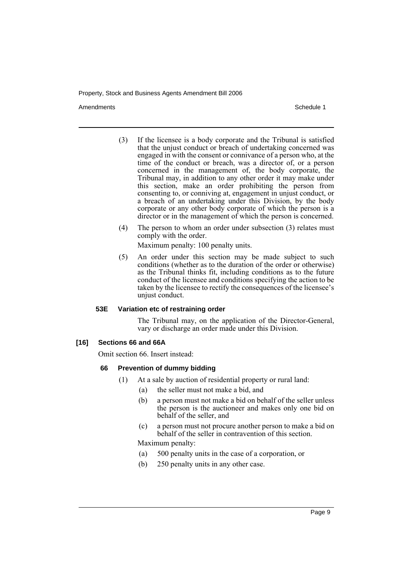Amendments **Amendments** Schedule 1

- (3) If the licensee is a body corporate and the Tribunal is satisfied that the unjust conduct or breach of undertaking concerned was engaged in with the consent or connivance of a person who, at the time of the conduct or breach, was a director of, or a person concerned in the management of, the body corporate, the Tribunal may, in addition to any other order it may make under this section, make an order prohibiting the person from consenting to, or conniving at, engagement in unjust conduct, or a breach of an undertaking under this Division, by the body corporate or any other body corporate of which the person is a director or in the management of which the person is concerned.
- (4) The person to whom an order under subsection (3) relates must comply with the order.

Maximum penalty: 100 penalty units.

(5) An order under this section may be made subject to such conditions (whether as to the duration of the order or otherwise) as the Tribunal thinks fit, including conditions as to the future conduct of the licensee and conditions specifying the action to be taken by the licensee to rectify the consequences of the licensee's unjust conduct.

# **53E Variation etc of restraining order**

The Tribunal may, on the application of the Director-General, vary or discharge an order made under this Division.

#### **[16] Sections 66 and 66A**

Omit section 66. Insert instead:

# **66 Prevention of dummy bidding**

- (1) At a sale by auction of residential property or rural land:
	- (a) the seller must not make a bid, and
	- (b) a person must not make a bid on behalf of the seller unless the person is the auctioneer and makes only one bid on behalf of the seller, and
	- (c) a person must not procure another person to make a bid on behalf of the seller in contravention of this section.

Maximum penalty:

- (a) 500 penalty units in the case of a corporation, or
- (b) 250 penalty units in any other case.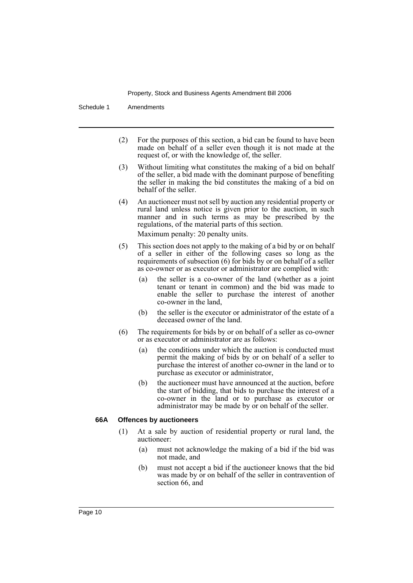Schedule 1 Amendments

- (2) For the purposes of this section, a bid can be found to have been made on behalf of a seller even though it is not made at the request of, or with the knowledge of, the seller.
- (3) Without limiting what constitutes the making of a bid on behalf of the seller, a bid made with the dominant purpose of benefiting the seller in making the bid constitutes the making of a bid on behalf of the seller.
- (4) An auctioneer must not sell by auction any residential property or rural land unless notice is given prior to the auction, in such manner and in such terms as may be prescribed by the regulations, of the material parts of this section. Maximum penalty: 20 penalty units.
- (5) This section does not apply to the making of a bid by or on behalf of a seller in either of the following cases so long as the requirements of subsection (6) for bids by or on behalf of a seller as co-owner or as executor or administrator are complied with:
	- the seller is a co-owner of the land (whether as a joint tenant or tenant in common) and the bid was made to enable the seller to purchase the interest of another co-owner in the land,
	- (b) the seller is the executor or administrator of the estate of a deceased owner of the land.
- (6) The requirements for bids by or on behalf of a seller as co-owner or as executor or administrator are as follows:
	- (a) the conditions under which the auction is conducted must permit the making of bids by or on behalf of a seller to purchase the interest of another co-owner in the land or to purchase as executor or administrator,
	- (b) the auctioneer must have announced at the auction, before the start of bidding, that bids to purchase the interest of a co-owner in the land or to purchase as executor or administrator may be made by or on behalf of the seller.

# **66A Offences by auctioneers**

- (1) At a sale by auction of residential property or rural land, the auctioneer:
	- (a) must not acknowledge the making of a bid if the bid was not made, and
	- (b) must not accept a bid if the auctioneer knows that the bid was made by or on behalf of the seller in contravention of section 66, and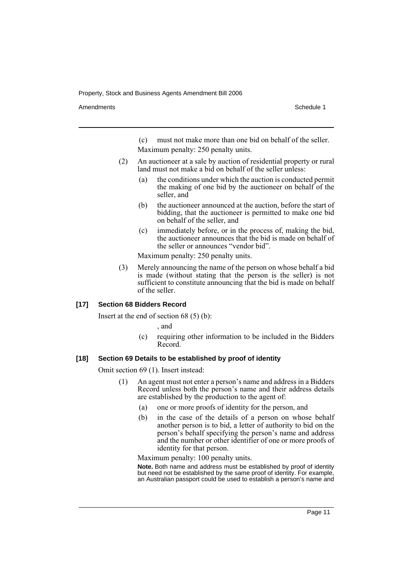Amendments **Amendments** Schedule 1

(c) must not make more than one bid on behalf of the seller. Maximum penalty: 250 penalty units.

- (2) An auctioneer at a sale by auction of residential property or rural land must not make a bid on behalf of the seller unless:
	- (a) the conditions under which the auction is conducted permit the making of one bid by the auctioneer on behalf of the seller, and
	- (b) the auctioneer announced at the auction, before the start of bidding, that the auctioneer is permitted to make one bid on behalf of the seller, and
	- (c) immediately before, or in the process of, making the bid, the auctioneer announces that the bid is made on behalf of the seller or announces "vendor bid".

Maximum penalty: 250 penalty units.

(3) Merely announcing the name of the person on whose behalf a bid is made (without stating that the person is the seller) is not sufficient to constitute announcing that the bid is made on behalf of the seller.

**[17] Section 68 Bidders Record**

Insert at the end of section 68 (5) (b):

, and

(c) requiring other information to be included in the Bidders Record.

#### **[18] Section 69 Details to be established by proof of identity**

Omit section 69 (1). Insert instead:

- (1) An agent must not enter a person's name and address in a Bidders Record unless both the person's name and their address details are established by the production to the agent of:
	- (a) one or more proofs of identity for the person, and
	- (b) in the case of the details of a person on whose behalf another person is to bid, a letter of authority to bid on the person's behalf specifying the person's name and address and the number or other identifier of one or more proofs of identity for that person.

Maximum penalty: 100 penalty units.

**Note.** Both name and address must be established by proof of identity but need not be established by the same proof of identity. For example, an Australian passport could be used to establish a person's name and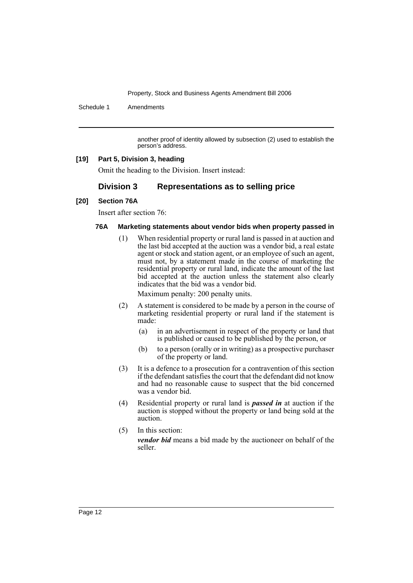Schedule 1 Amendments

another proof of identity allowed by subsection (2) used to establish the person's address.

# **[19] Part 5, Division 3, heading**

Omit the heading to the Division. Insert instead:

# **Division 3 Representations as to selling price**

# **[20] Section 76A**

Insert after section 76:

# **76A Marketing statements about vendor bids when property passed in**

(1) When residential property or rural land is passed in at auction and the last bid accepted at the auction was a vendor bid, a real estate agent or stock and station agent, or an employee of such an agent, must not, by a statement made in the course of marketing the residential property or rural land, indicate the amount of the last bid accepted at the auction unless the statement also clearly indicates that the bid was a vendor bid.

Maximum penalty: 200 penalty units.

- (2) A statement is considered to be made by a person in the course of marketing residential property or rural land if the statement is made:
	- (a) in an advertisement in respect of the property or land that is published or caused to be published by the person, or
	- (b) to a person (orally or in writing) as a prospective purchaser of the property or land.
- (3) It is a defence to a prosecution for a contravention of this section if the defendant satisfies the court that the defendant did not know and had no reasonable cause to suspect that the bid concerned was a vendor bid.
- (4) Residential property or rural land is *passed in* at auction if the auction is stopped without the property or land being sold at the auction.
- (5) In this section: *vendor bid* means a bid made by the auctioneer on behalf of the seller.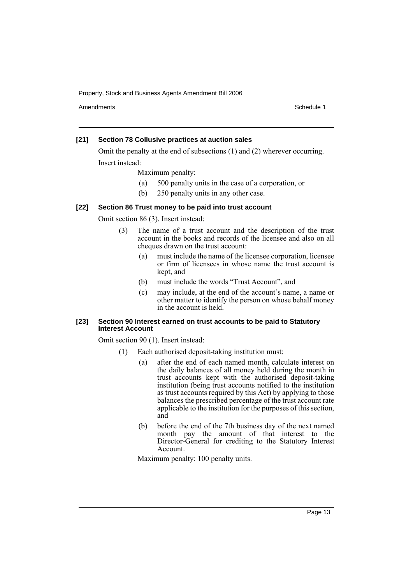Amendments **Amendments** Schedule 1

#### **[21] Section 78 Collusive practices at auction sales**

Omit the penalty at the end of subsections (1) and (2) wherever occurring. Insert instead:

Maximum penalty:

- (a) 500 penalty units in the case of a corporation, or
- (b) 250 penalty units in any other case.

# **[22] Section 86 Trust money to be paid into trust account**

Omit section 86 (3). Insert instead:

- (3) The name of a trust account and the description of the trust account in the books and records of the licensee and also on all cheques drawn on the trust account:
	- (a) must include the name of the licensee corporation, licensee or firm of licensees in whose name the trust account is kept, and
	- (b) must include the words "Trust Account", and
	- (c) may include, at the end of the account's name, a name or other matter to identify the person on whose behalf money in the account is held.

# **[23] Section 90 Interest earned on trust accounts to be paid to Statutory Interest Account**

Omit section 90 (1). Insert instead:

- (1) Each authorised deposit-taking institution must:
	- (a) after the end of each named month, calculate interest on the daily balances of all money held during the month in trust accounts kept with the authorised deposit-taking institution (being trust accounts notified to the institution as trust accounts required by this Act) by applying to those balances the prescribed percentage of the trust account rate applicable to the institution for the purposes of this section, and
	- (b) before the end of the 7th business day of the next named month pay the amount of that interest to the Director-General for crediting to the Statutory Interest Account.

Maximum penalty: 100 penalty units.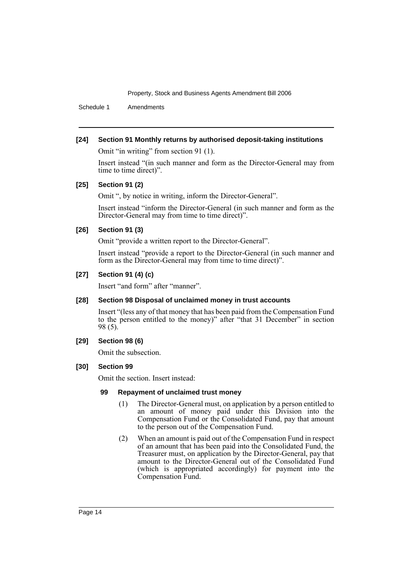Schedule 1 Amendments

# **[24] Section 91 Monthly returns by authorised deposit-taking institutions**

Omit "in writing" from section 91 (1).

Insert instead "(in such manner and form as the Director-General may from time to time direct)".

# **[25] Section 91 (2)**

Omit ", by notice in writing, inform the Director-General".

Insert instead "inform the Director-General (in such manner and form as the Director-General may from time to time direct)".

# **[26] Section 91 (3)**

Omit "provide a written report to the Director-General".

Insert instead "provide a report to the Director-General (in such manner and form as the Director-General may from time to time direct)".

# **[27] Section 91 (4) (c)**

Insert "and form" after "manner".

# **[28] Section 98 Disposal of unclaimed money in trust accounts**

Insert "(less any of that money that has been paid from the Compensation Fund to the person entitled to the money)" after "that 31 December" in section 98 (5).

# **[29] Section 98 (6)**

Omit the subsection.

# **[30] Section 99**

Omit the section. Insert instead:

#### **99 Repayment of unclaimed trust money**

- (1) The Director-General must, on application by a person entitled to an amount of money paid under this Division into the Compensation Fund or the Consolidated Fund, pay that amount to the person out of the Compensation Fund.
- (2) When an amount is paid out of the Compensation Fund in respect of an amount that has been paid into the Consolidated Fund, the Treasurer must, on application by the Director-General, pay that amount to the Director-General out of the Consolidated Fund (which is appropriated accordingly) for payment into the Compensation Fund.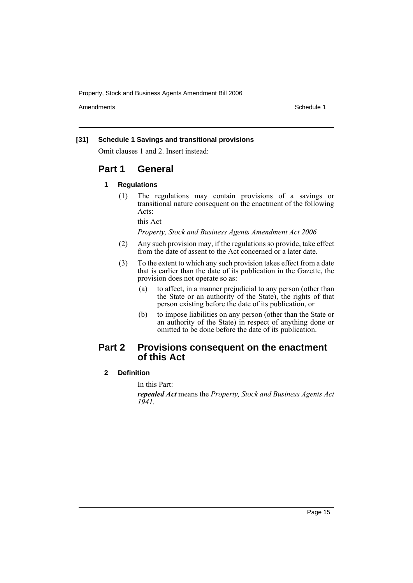Amendments **Schedule 1** and the set of the set of the set of the set of the set of the set of the set of the set of the set of the set of the set of the set of the set of the set of the set of the set of the set of the set

# **[31] Schedule 1 Savings and transitional provisions**

Omit clauses 1 and 2. Insert instead:

# **Part 1 General**

#### **1 Regulations**

(1) The regulations may contain provisions of a savings or transitional nature consequent on the enactment of the following Acts:

this Act

*Property, Stock and Business Agents Amendment Act 2006*

- (2) Any such provision may, if the regulations so provide, take effect from the date of assent to the Act concerned or a later date.
- (3) To the extent to which any such provision takes effect from a date that is earlier than the date of its publication in the Gazette, the provision does not operate so as:
	- (a) to affect, in a manner prejudicial to any person (other than the State or an authority of the State), the rights of that person existing before the date of its publication, or
	- (b) to impose liabilities on any person (other than the State or an authority of the State) in respect of anything done or omitted to be done before the date of its publication.

# **Part 2 Provisions consequent on the enactment of this Act**

#### **2 Definition**

In this Part:

*repealed Act* means the *Property, Stock and Business Agents Act 1941*.